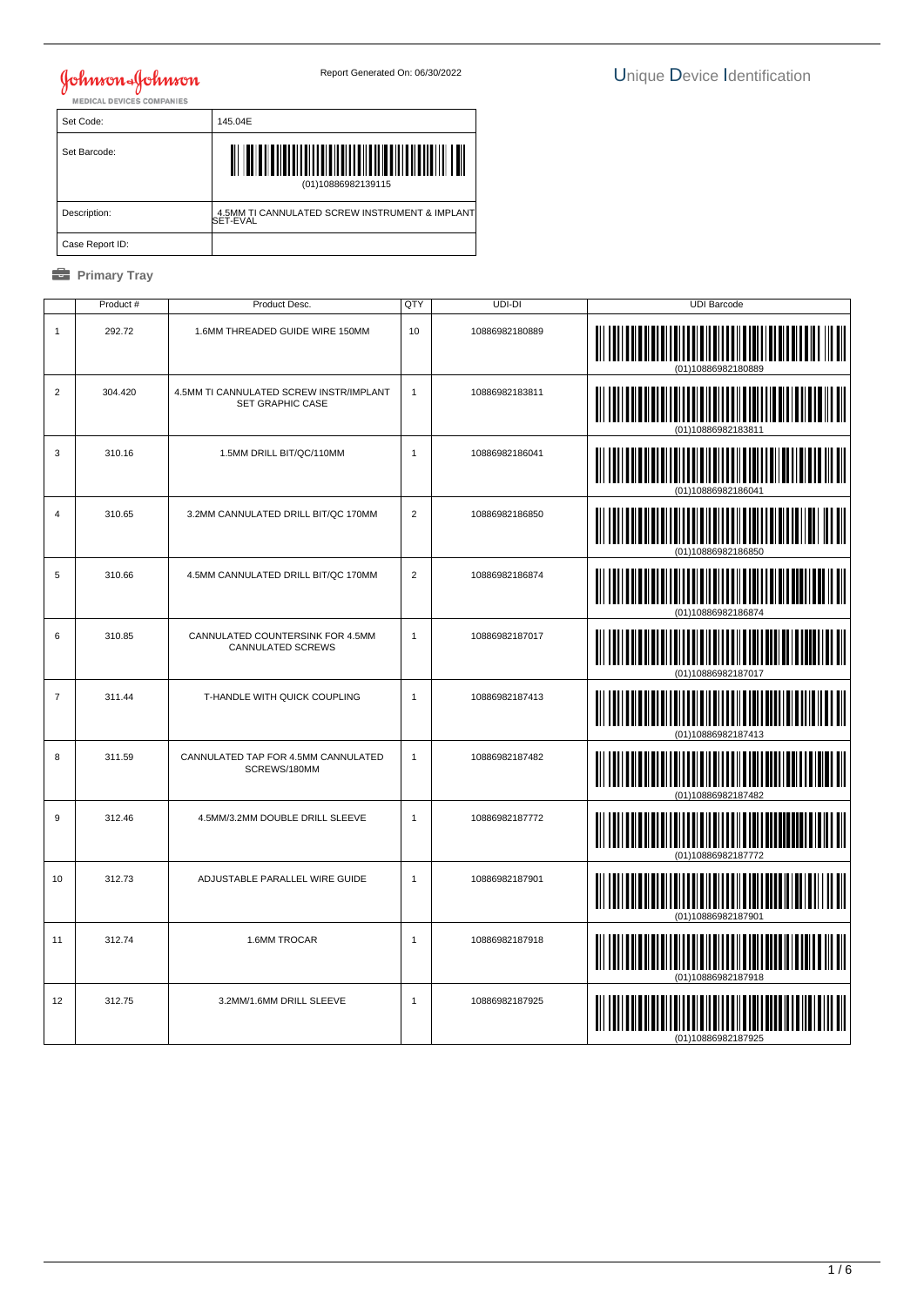| Set Code:       | 145.04E                                                    |
|-----------------|------------------------------------------------------------|
| Set Barcode:    | (01)10886982139115                                         |
| Description:    | 4.5MM TI CANNULATED SCREW INSTRUMENT & IMPLANT<br>SET-EVAL |
| Case Report ID: |                                                            |

|                | Product # | Product Desc.                                                      | QTY            | UDI-DI         | <b>UDI Barcode</b>         |
|----------------|-----------|--------------------------------------------------------------------|----------------|----------------|----------------------------|
| $\mathbf{1}$   | 292.72    | 1.6MM THREADED GUIDE WIRE 150MM                                    | 10             | 10886982180889 |                            |
| $\overline{c}$ | 304.420   | 4.5MM TI CANNULATED SCREW INSTR/IMPLANT<br><b>SET GRAPHIC CASE</b> | $\mathbf{1}$   | 10886982183811 | (01)10886982183811         |
| 3              | 310.16    | 1.5MM DRILL BIT/QC/110MM                                           | $\mathbf{1}$   | 10886982186041 | (01)10886982186041         |
| $\overline{4}$ | 310.65    | 3.2MM CANNULATED DRILL BIT/QC 170MM                                | 2              | 10886982186850 | $\ $<br>(01)10886982186850 |
| 5              | 310.66    | 4.5MM CANNULATED DRILL BIT/QC 170MM                                | $\overline{2}$ | 10886982186874 |                            |
| 6              | 310.85    | CANNULATED COUNTERSINK FOR 4.5MM<br>CANNULATED SCREWS              | $\mathbf{1}$   | 10886982187017 |                            |
| $\overline{7}$ | 311.44    | T-HANDLE WITH QUICK COUPLING                                       | $\mathbf{1}$   | 10886982187413 |                            |
| 8              | 311.59    | CANNULATED TAP FOR 4.5MM CANNULATED<br>SCREWS/180MM                | $\mathbf{1}$   | 10886982187482 | IIII III                   |
| 9              | 312.46    | 4.5MM/3.2MM DOUBLE DRILL SLEEVE                                    | $\mathbf{1}$   | 10886982187772 | (01)10886982187772         |
| 10             | 312.73    | ADJUSTABLE PARALLEL WIRE GUIDE                                     | $\mathbf{1}$   | 10886982187901 | (01)10886982187901         |
| 11             | 312.74    | 1.6MM TROCAR                                                       | $\mathbf{1}$   | 10886982187918 | (01)10886982187918         |
| 12             | 312.75    | 3.2MM/1.6MM DRILL SLEEVE                                           | $\mathbf{1}$   | 10886982187925 |                            |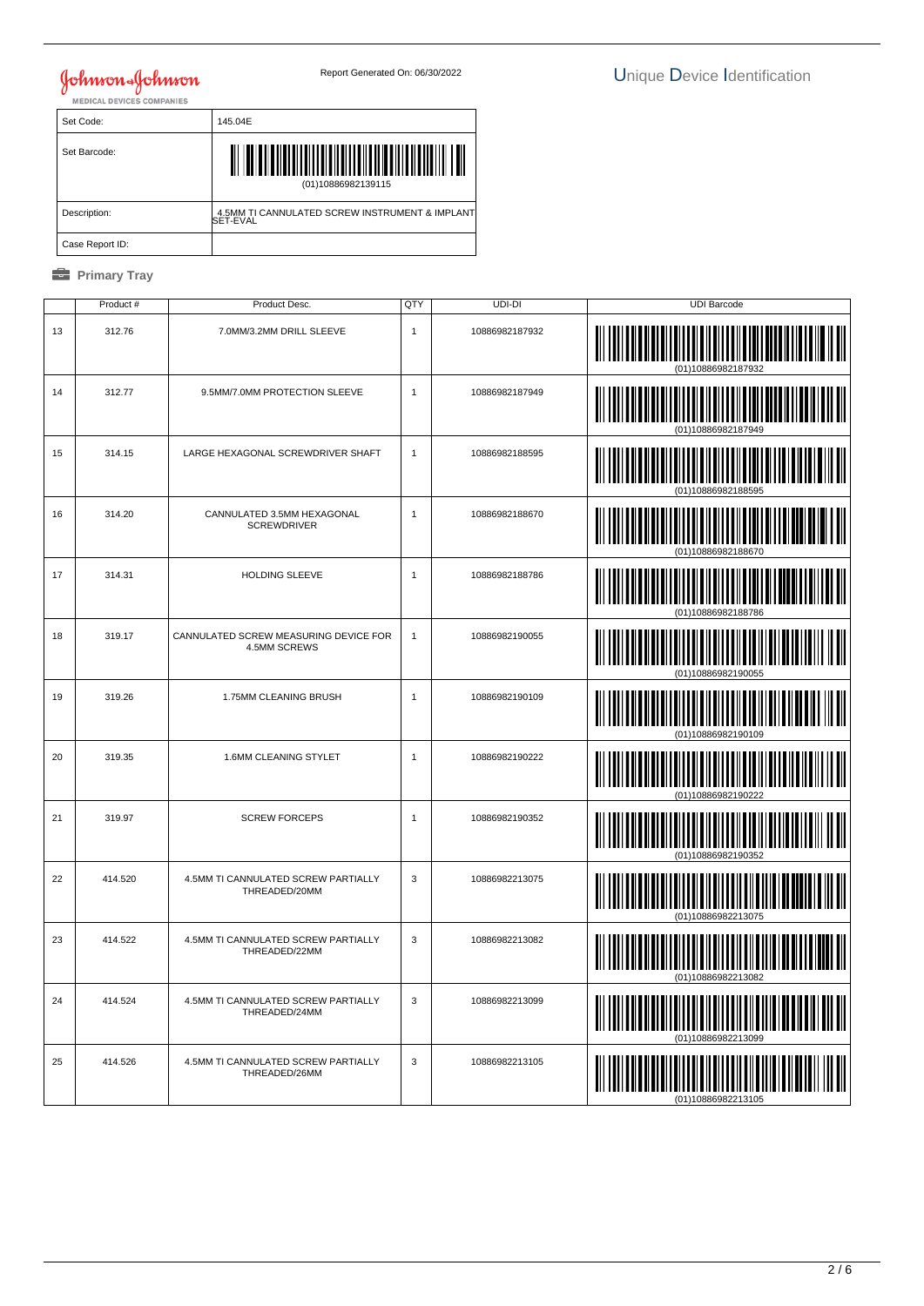| Set Code:       | 145.04E                                                    |
|-----------------|------------------------------------------------------------|
| Set Barcode:    | (01)10886982139115                                         |
| Description:    | 4.5MM TI CANNULATED SCREW INSTRUMENT & IMPLANT<br>SET-EVAL |
| Case Report ID: |                                                            |

|    | Product# | Product Desc.                                         | QTY          | UDI-DI         | <b>UDI Barcode</b> |
|----|----------|-------------------------------------------------------|--------------|----------------|--------------------|
| 13 | 312.76   | 7.0MM/3.2MM DRILL SLEEVE                              | 1            | 10886982187932 | (01)10886982187932 |
| 14 | 312.77   | 9.5MM/7.0MM PROTECTION SLEEVE                         | $\mathbf{1}$ | 10886982187949 | (01)10886982187949 |
| 15 | 314.15   | LARGE HEXAGONAL SCREWDRIVER SHAFT                     | $\mathbf{1}$ | 10886982188595 |                    |
| 16 | 314.20   | CANNULATED 3.5MM HEXAGONAL<br><b>SCREWDRIVER</b>      | 1            | 10886982188670 |                    |
| 17 | 314.31   | HOLDING SLEEVE                                        | $\mathbf{1}$ | 10886982188786 |                    |
| 18 | 319.17   | CANNULATED SCREW MEASURING DEVICE FOR<br>4.5MM SCREWS | $\mathbf{1}$ | 10886982190055 | (01)10886982190055 |
| 19 | 319.26   | 1.75MM CLEANING BRUSH                                 | 1            | 10886982190109 | (01)10886982190109 |
| 20 | 319.35   | 1.6MM CLEANING STYLET                                 | $\mathbf{1}$ | 10886982190222 |                    |
| 21 | 319.97   | <b>SCREW FORCEPS</b>                                  | 1            | 10886982190352 | (01)10886982190352 |
| 22 | 414.520  | 4.5MM TI CANNULATED SCREW PARTIALLY<br>THREADED/20MM  | 3            | 10886982213075 | (01)10886982213075 |
| 23 | 414.522  | 4.5MM TI CANNULATED SCREW PARTIALLY<br>THREADED/22MM  | 3            | 10886982213082 |                    |
| 24 | 414.524  | 4.5MM TI CANNULATED SCREW PARTIALLY<br>THREADED/24MM  | 3            | 10886982213099 | (01)10886982213099 |
| 25 | 414.526  | 4.5MM TI CANNULATED SCREW PARTIALLY<br>THREADED/26MM  | 3            | 10886982213105 |                    |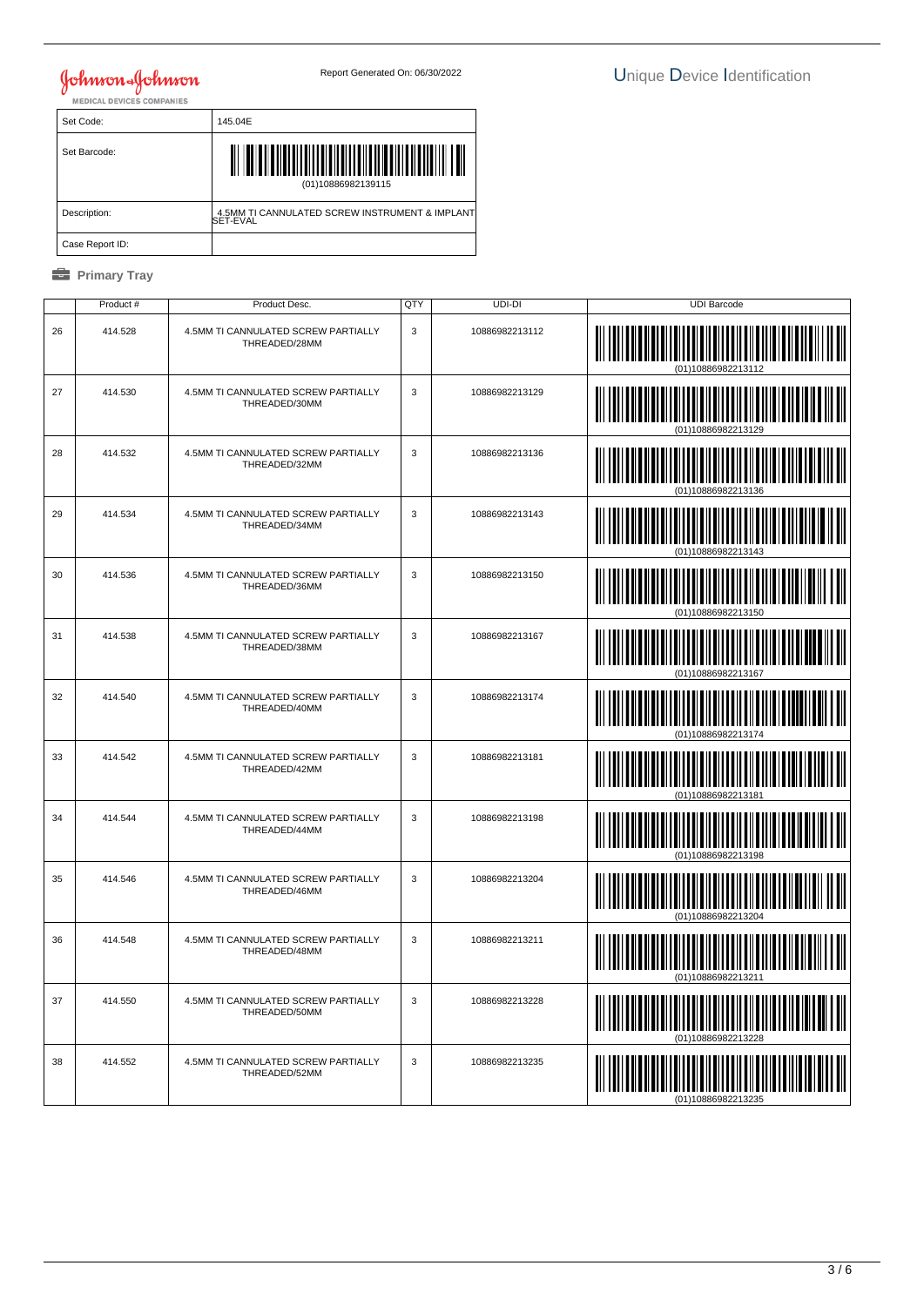| Set Code:       | 145.04E                                                    |
|-----------------|------------------------------------------------------------|
| Set Barcode:    | (01)10886982139115                                         |
| Description:    | 4.5MM TI CANNULATED SCREW INSTRUMENT & IMPLANT<br>SET-EVAL |
| Case Report ID: |                                                            |

|    | Product # | Product Desc.                                        | QTY         | UDI-DI         | <b>UDI Barcode</b>            |
|----|-----------|------------------------------------------------------|-------------|----------------|-------------------------------|
| 26 | 414.528   | 4.5MM TI CANNULATED SCREW PARTIALLY<br>THREADED/28MM | 3           | 10886982213112 |                               |
| 27 | 414.530   | 4.5MM TI CANNULATED SCREW PARTIALLY<br>THREADED/30MM | 3           | 10886982213129 |                               |
| 28 | 414.532   | 4.5MM TI CANNULATED SCREW PARTIALLY<br>THREADED/32MM | 3           | 10886982213136 | <b>    </b>                   |
| 29 | 414.534   | 4.5MM TI CANNULATED SCREW PARTIALLY<br>THREADED/34MM | 3           | 10886982213143 |                               |
| 30 | 414.536   | 4.5MM TI CANNULATED SCREW PARTIALLY<br>THREADED/36MM | 3           | 10886982213150 |                               |
| 31 | 414.538   | 4.5MM TI CANNULATED SCREW PARTIALLY<br>THREADED/38MM | 3           | 10886982213167 |                               |
| 32 | 414.540   | 4.5MM TI CANNULATED SCREW PARTIALLY<br>THREADED/40MM | 3           | 10886982213174 |                               |
| 33 | 414.542   | 4.5MM TI CANNULATED SCREW PARTIALLY<br>THREADED/42MM | 3           | 10886982213181 | IIIII III                     |
| 34 | 414.544   | 4.5MM TI CANNULATED SCREW PARTIALLY<br>THREADED/44MM | $\mathsf 3$ | 10886982213198 |                               |
| 35 | 414.546   | 4.5MM TI CANNULATED SCREW PARTIALLY<br>THREADED/46MM | 3           | 10886982213204 | (01)10886982213204            |
| 36 | 414.548   | 4.5MM TI CANNULATED SCREW PARTIALLY<br>THREADED/48MM | 3           | 10886982213211 |                               |
| 37 | 414.550   | 4.5MM TI CANNULATED SCREW PARTIALLY<br>THREADED/50MM | 3           | 10886982213228 | <u>                      </u> |
| 38 | 414.552   | 4.5MM TI CANNULATED SCREW PARTIALLY<br>THREADED/52MM | 3           | 10886982213235 |                               |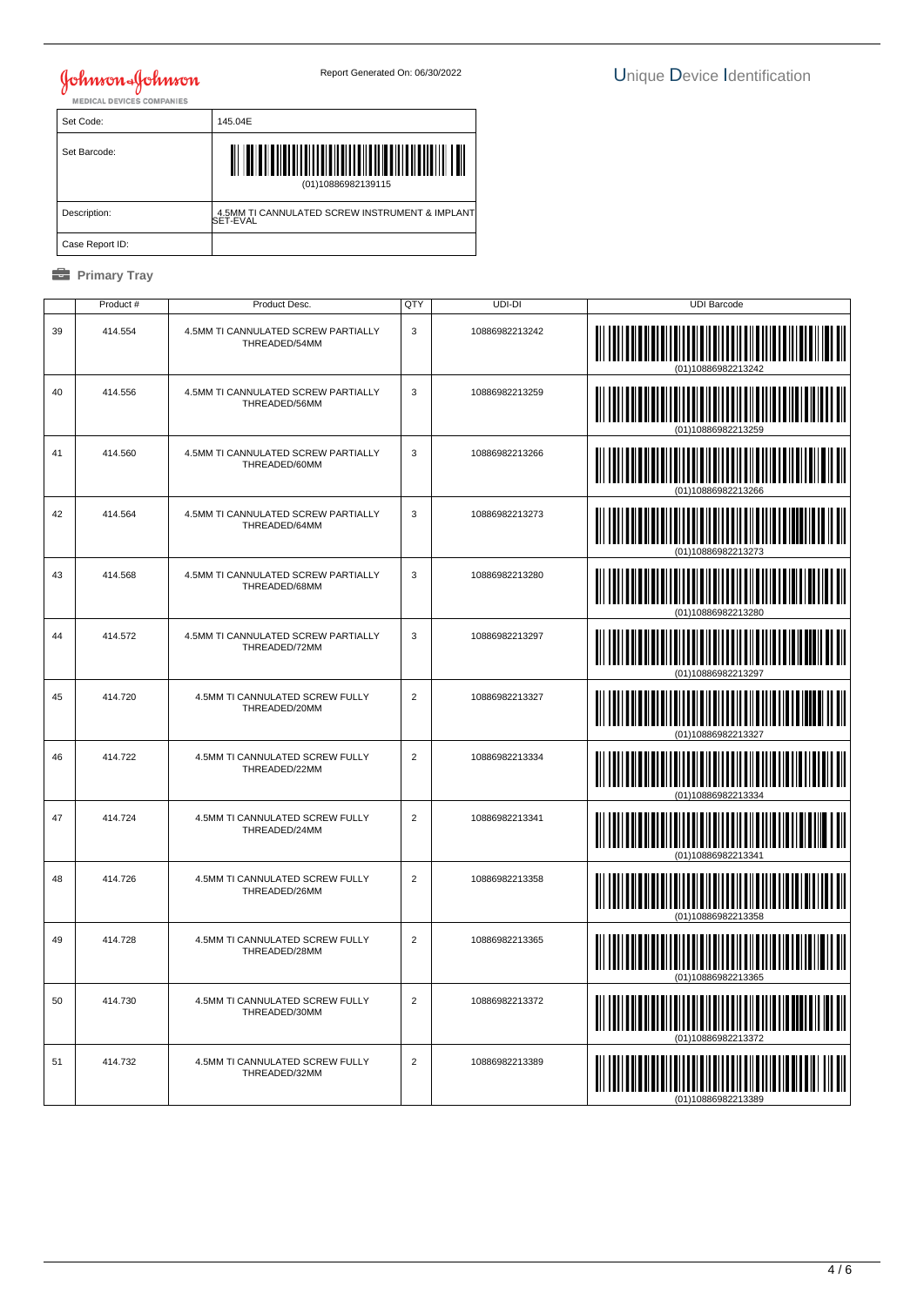| Set Code:       | 145.04E                                                    |
|-----------------|------------------------------------------------------------|
| Set Barcode:    | (01)10886982139115                                         |
| Description:    | 4.5MM TI CANNULATED SCREW INSTRUMENT & IMPLANT<br>SET-EVAL |
| Case Report ID: |                                                            |

|    | Product # | Product Desc.                                        | QTY            | UDI-DI         | <b>UDI Barcode</b>                     |
|----|-----------|------------------------------------------------------|----------------|----------------|----------------------------------------|
| 39 | 414.554   | 4.5MM TI CANNULATED SCREW PARTIALLY<br>THREADED/54MM | 3              | 10886982213242 |                                        |
| 40 | 414.556   | 4.5MM TI CANNULATED SCREW PARTIALLY<br>THREADED/56MM | 3              | 10886982213259 | IIII                                   |
| 41 | 414.560   | 4.5MM TI CANNULATED SCREW PARTIALLY<br>THREADED/60MM | 3              | 10886982213266 |                                        |
| 42 | 414.564   | 4.5MM TI CANNULATED SCREW PARTIALLY<br>THREADED/64MM | 3              | 10886982213273 |                                        |
| 43 | 414.568   | 4.5MM TI CANNULATED SCREW PARTIALLY<br>THREADED/68MM | 3              | 10886982213280 |                                        |
| 44 | 414.572   | 4.5MM TI CANNULATED SCREW PARTIALLY<br>THREADED/72MM | 3              | 10886982213297 |                                        |
| 45 | 414.720   | 4.5MM TI CANNULATED SCREW FULLY<br>THREADED/20MM     | $\overline{c}$ | 10886982213327 |                                        |
| 46 | 414.722   | 4.5MM TI CANNULATED SCREW FULLY<br>THREADED/22MM     | 2              | 10886982213334 |                                        |
| 47 | 414.724   | 4.5MM TI CANNULATED SCREW FULLY<br>THREADED/24MM     | $\sqrt{2}$     | 10886982213341 |                                        |
| 48 | 414.726   | 4.5MM TI CANNULATED SCREW FULLY<br>THREADED/26MM     | 2              | 10886982213358 | (01)10886982213358                     |
| 49 | 414.728   | 4.5MM TI CANNULATED SCREW FULLY<br>THREADED/28MM     | 2              | 10886982213365 |                                        |
| 50 | 414.730   | 4.5MM TI CANNULATED SCREW FULLY<br>THREADED/30MM     | 2              | 10886982213372 | <u> III III III III III III III II</u> |
| 51 | 414.732   | 4.5MM TI CANNULATED SCREW FULLY<br>THREADED/32MM     | 2              | 10886982213389 |                                        |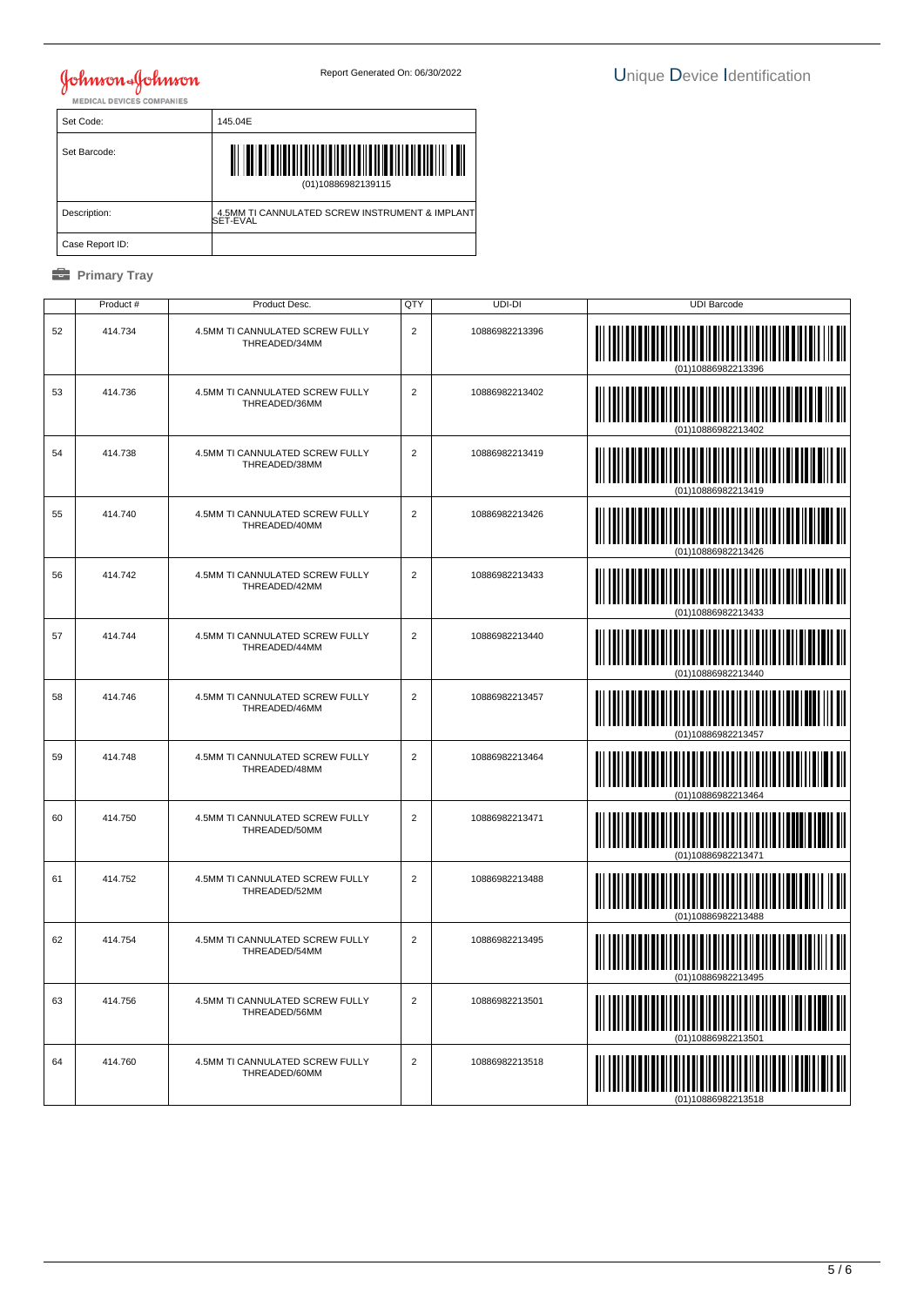| Set Code:       | 145.04E                                                    |
|-----------------|------------------------------------------------------------|
| Set Barcode:    | (01)10886982139115                                         |
| Description:    | 4.5MM TI CANNULATED SCREW INSTRUMENT & IMPLANT<br>SET-EVAL |
| Case Report ID: |                                                            |

|    | Product # | Product Desc.                                    | QTY            | UDI-DI         | <b>UDI Barcode</b>                  |
|----|-----------|--------------------------------------------------|----------------|----------------|-------------------------------------|
| 52 | 414.734   | 4.5MM TI CANNULATED SCREW FULLY<br>THREADED/34MM | $\overline{2}$ | 10886982213396 |                                     |
| 53 | 414.736   | 4.5MM TI CANNULATED SCREW FULLY<br>THREADED/36MM | $\overline{2}$ | 10886982213402 |                                     |
| 54 | 414.738   | 4.5MM TI CANNULATED SCREW FULLY<br>THREADED/38MM | $\overline{2}$ | 10886982213419 | <u>                            </u> |
| 55 | 414.740   | 4.5MM TI CANNULATED SCREW FULLY<br>THREADED/40MM | 2              | 10886982213426 |                                     |
| 56 | 414.742   | 4.5MM TI CANNULATED SCREW FULLY<br>THREADED/42MM | 2              | 10886982213433 |                                     |
| 57 | 414.744   | 4.5MM TI CANNULATED SCREW FULLY<br>THREADED/44MM | $\overline{2}$ | 10886982213440 | (01)10886982213440                  |
| 58 | 414.746   | 4.5MM TI CANNULATED SCREW FULLY<br>THREADED/46MM | $\overline{c}$ | 10886982213457 |                                     |
| 59 | 414.748   | 4.5MM TI CANNULATED SCREW FULLY<br>THREADED/48MM | 2              | 10886982213464 |                                     |
| 60 | 414.750   | 4.5MM TI CANNULATED SCREW FULLY<br>THREADED/50MM | $\sqrt{2}$     | 10886982213471 | (        <br>                       |
| 61 | 414.752   | 4.5MM TI CANNULATED SCREW FULLY<br>THREADED/52MM | 2              | 10886982213488 | (01)10886982213488                  |
| 62 | 414.754   | 4.5MM TI CANNULATED SCREW FULLY<br>THREADED/54MM | 2              | 10886982213495 |                                     |
| 63 | 414.756   | 4.5MM TI CANNULATED SCREW FULLY<br>THREADED/56MM | $\overline{2}$ | 10886982213501 |                                     |
| 64 | 414.760   | 4.5MM TI CANNULATED SCREW FULLY<br>THREADED/60MM | 2              | 10886982213518 |                                     |